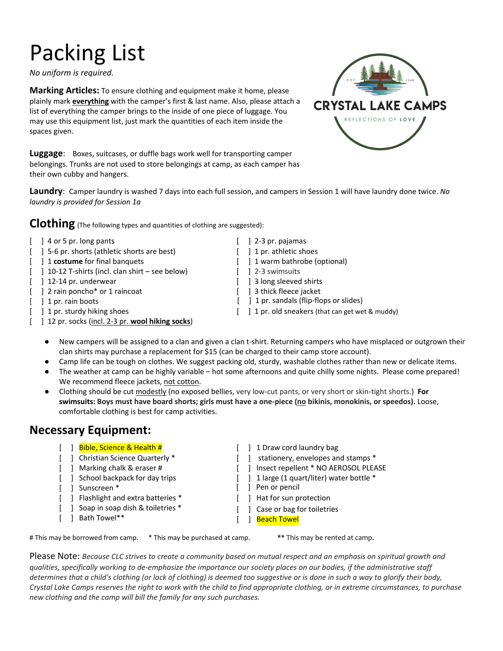# Packing List

*No uniform is required.* 

**Marking Articles:** To ensure clothing and equipment make it home, please plainly mark **everything** with the camper's first & last name. Also, please attach a list of everything the camper brings to the inside of one piece of luggage. You may use this equipment list, just mark the quantities of each item inside the spaces given.

**Luggage**: Boxes, suitcases, or duffle bags work well for transporting camper belongings. Trunks are not used to store belongings at camp, as each camper has their own cubby and hangers.



**Laundry**: Camper laundry is washed 7 days into each full session, and campers in Session 1 will have laundry done twice. *No laundry is provided for Session 1a*

**Clothing** (The following types and quantities of clothing are suggested):

- [ ] 4 or 5 pr. long pants [ ] 2-3 pr. pajamas
- [ ] 5-6 pr. shorts (athletic shorts are best) [ ] 1 pr. athletic shoes
- [ ] 1 **costume** for final banquets [ ] 1 warm bathrobe (optional)
- [ ] 10-12 T-shirts (incl. clan shirt see below) [ ] 2-3 swimsuits
- [ ] 12-14 pr. underwear [ ] 3 long sleeved shirts
- [ ] 2 rain poncho\* or 1 raincoat [ ] 3 thick fleece jacket
	-
	-
- [ ] 12 pr. socks (incl. 2-3 pr. wool hiking socks)
- 
- 
- 
- 
- 
- 
- [ ] 1 pr. rain boots [ ] 1 pr. sandals (flip-flops or slides)
- [ ] 1 pr. sturdy hiking shoes [ ] 1 pr. old sneakers (that can get wet & muddy)
	- New campers will be assigned to a clan and given a clan t-shirt. Returning campers who have misplaced or outgrown their clan shirts may purchase a replacement for \$15 (can be charged to their camp store account).
	- Camp life can be tough on clothes. We suggest packing old, sturdy, washable clothes rather than new or delicate items.
	- The weather at camp can be highly variable hot some afternoons and quite chilly some nights. Please come prepared! We recommend fleece jackets, not cotton.
	- Clothing should be cut modestly (no exposed bellies, very low-cut pants, or very short or skin-tight shorts.) **For swimsuits: Boys must have board shorts; girls must have a one-piece (no bikinis, monokinis, or speedos).** Loose, comfortable clothing is best for camp activities.

## **Necessary Equipment:**

- [ ] Bible, Science & Health # [ ] 1 Draw cord laundry bag
- 
- 
- 
- 
- [ ] Flashlight and extra batteries \* [ ] Hat for sun protection
- [ ] Soap in soap dish & toiletries \*
- [ ] Bath Towel\*\*
- 
- [ ] Christian Science Quarterly \* [ ] stationery, envelopes and stamps \*
- [ ] Marking chalk & eraser # [ ] Insect repellent \* NO AEROSOL PLEASE
- [ ] School backpack for day trips [ ] 1 large (1 quart/liter) water bottle \*
- [ ] Sunscreen \* [ ] Pen or pencil
	-
	- [ ] Case or bag for toiletries
	- [ ] Beach Towel

# This may be borrowed from camp. \* This may be purchased at camp.

\*\* This may be rented at camp.

Please Note: *Because CLC strives to create a community based on mutual respect and an emphasis on spiritual growth and qualities, specifically working to de-emphasize the importance our society places on our bodies, if the administrative staff determines that a child's clothing (or lack of clothing) is deemed too suggestive or is done in such a way to glorify their body, Crystal Lake Camps reserves the right to work with the child to find appropriate clothing, or in extreme circumstances, to purchase new clothing and the camp will bill the family for any such purchases.*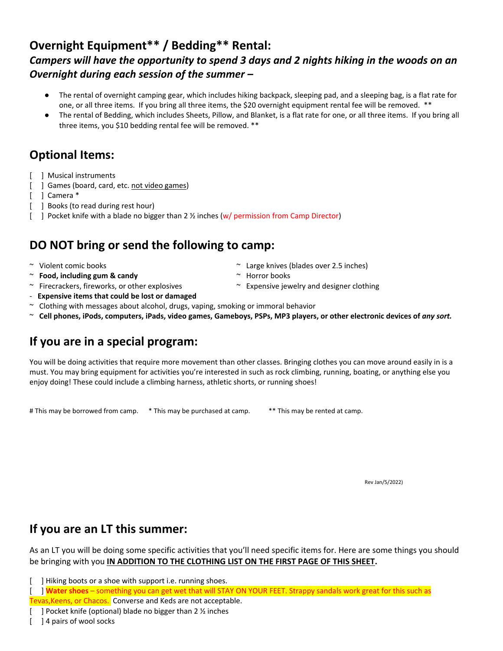#### **Overnight Equipment\*\* / Bedding\*\* Rental:** *Campers will have the opportunity to spend 3 days and 2 nights hiking in the woods on an Overnight during each session of the summer –*

- The rental of overnight camping gear, which includes hiking backpack, sleeping pad, and a sleeping bag, is a flat rate for one, or all three items. If you bring all three items, the \$20 overnight equipment rental fee will be removed. \*\*
- The rental of Bedding, which includes Sheets, Pillow, and Blanket, is a flat rate for one, or all three items. If you bring all three items, you \$10 bedding rental fee will be removed. \*\*

#### **Optional Items:**

- [ ] Musical instruments
	- [ ] Games (board, card, etc. not video games)
	- [ ] Camera \*
- [ ] Books (to read during rest hour)
- [ ] Pocket knife with a blade no bigger than 2 % inches (w/ permission from Camp Director)

#### **DO NOT bring or send the following to camp:**

- 
- ~ **Food, including gum & candy** ~ Horror books
- ~ Violent comic books ~ Large knives (blades over 2.5 inches)
	-
- $\sim$  Firecrackers, fireworks, or other explosives  $\sim$  Expensive jewelry and designer clothing
- **Expensive items that could be lost or damaged**
- ~ Clothing with messages about alcohol, drugs, vaping, smoking or immoral behavior
- ~ **Cell phones, iPods, computers, iPads, video games, Gameboys, PSPs, MP3 players, or other electronic devices of** *any sort.*

### **If you are in a special program:**

You will be doing activities that require more movement than other classes. Bringing clothes you can move around easily in is a must. You may bring equipment for activities you're interested in such as rock climbing, running, boating, or anything else you enjoy doing! These could include a climbing harness, athletic shorts, or running shoes!

# This may be borrowed from camp. \* This may be purchased at camp. \*\* This may be rented at camp.

Rev Jan/5/2022)

#### **If you are an LT this summer:**

As an LT you will be doing some specific activities that you'll need specific items for. Here are some things you should be bringing with you **IN ADDITION TO THE CLOTHING LIST ON THE FIRST PAGE OF THIS SHEET.**

[ ] Hiking boots or a shoe with support i.e. running shoes.

[ ] **Water shoes** – something you can get wet that will STAY ON YOUR FEET. Strappy sandals work great for this such as Tevas,Keens, or Chacos. Converse and Keds are not acceptable.

<sup>[ ]</sup> Pocket knife (optional) blade no bigger than  $2 \frac{1}{2}$  inches